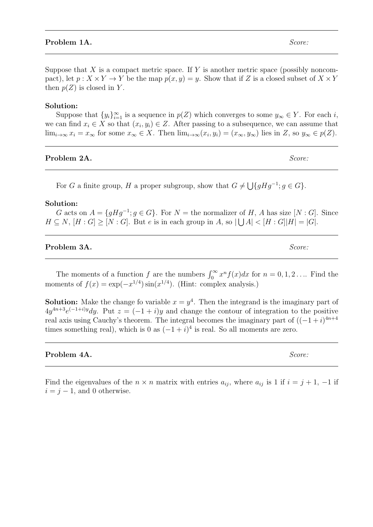## **Problem 1A.** Score:

Suppose that X is a compact metric space. If Y is another metric space (possibly noncompact), let  $p: X \times Y \to Y$  be the map  $p(x, y) = y$ . Show that if Z is a closed subset of  $X \times Y$ then  $p(Z)$  is closed in Y.

## Solution:

Suppose that  $\{y_i\}_{i=1}^{\infty}$  is a sequence in  $p(Z)$  which converges to some  $y_{\infty} \in Y$ . For each i, we can find  $x_i \in X$  so that  $(x_i, y_i) \in Z$ . After passing to a subsequence, we can assume that  $\lim_{i\to\infty} x_i = x_\infty$  for some  $x_\infty \in X$ . Then  $\lim_{i\to\infty} (x_i, y_i) = (x_\infty, y_\infty)$  lies in Z, so  $y_\infty \in p(Z)$ .

# Problem 2A. Score:

For G a finite group, H a proper subgroup, show that  $G \neq \bigcup \{gHg^{-1}; g \in G\}.$ 

## Solution:

G acts on  $A = \{gHg^{-1} : g \in G\}$ . For  $N =$  the normalizer of H, A has size  $[N : G]$ . Since  $H \subseteq N$ ,  $[H : G] \geq [N : G]$ . But e is in each group in A, so  $|\bigcup A| < [H : G]|H| = |G|$ .

## **Problem 3A.** Score:

The moments of a function f are the numbers  $\int_0^\infty x^n f(x) dx$  for  $n = 0, 1, 2, \ldots$  Find the moments of  $f(x) = \exp(-x^{1/4}) \sin(x^{1/4})$ . (Hint: complex analysis.)

**Solution:** Make the change fo variable  $x = y^4$ . Then the integrand is the imaginary part of  $4y^{4n+3}e^{(-1+i)y}dy$ . Put  $z = (-1+i)y$  and change the contour of integration to the positive real axis using Cauchy's theorem. The integral becomes the imaginary part of  $((-1+i)^{4n+4})$ times something real), which is 0 as  $(-1 + i)^4$  is real. So all moments are zero.

# **Problem 4A.** Score:

Find the eigenvalues of the  $n \times n$  matrix with entries  $a_{ij}$ , where  $a_{ij}$  is 1 if  $i = j + 1, -1$  if  $i = j - 1$ , and 0 otherwise.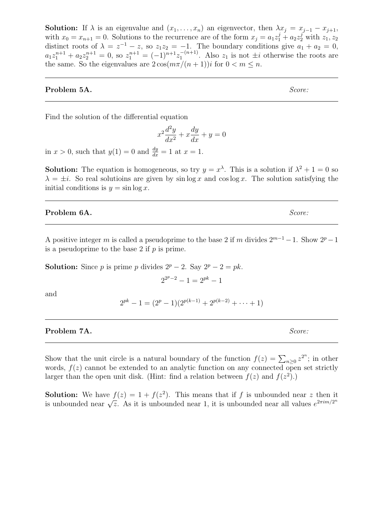**Solution:** If  $\lambda$  is an eigenvalue and  $(x_1, \ldots, x_n)$  an eigenvector, then  $\lambda x_j = x_{j-1} - x_{j+1}$ , with  $x_0 = x_{n+1} = 0$ . Solutions to the recurrence are of the form  $x_j = a_1 z_1^j + a_2 z_2^j$  with  $z_1, z_2$ distinct roots of  $\lambda = z^{-1} - z$ , so  $z_1 z_2 = -1$ . The boundary conditions give  $a_1 + a_2 = 0$ ,  $a_1 z_1^{n+1} + a_2 z_2^{n+1} = 0$ , so  $z_1^{n+1} = (-1)^{n+1} z_1^{-(n+1)}$  $\frac{1}{1}$ <sup>-(n+1)</sup>. Also  $z_1$  is not  $\pm i$  otherwise the roots are the same. So the eigenvalues are  $2\cos(m\pi/(n+1))i$  for  $0 < m \leq n$ .

## **Problem 5A.** Score:

Find the solution of the differential equation

$$
x^2\frac{d^2y}{dx^2} + x\frac{dy}{dx} + y = 0
$$

in  $x > 0$ , such that  $y(1) = 0$  and  $\frac{dy}{dx} = 1$  at  $x = 1$ .

**Solution:** The equation is homogeneous, so try  $y = x^{\lambda}$ . This is a solution if  $\lambda^2 + 1 = 0$  so  $\lambda = \pm i$ . So real solutions are given by sin log x and cos log x. The solution satisfying the initial conditions is  $y = \sin \log x$ .

**Problem 6A.** Score:

A positive integer m is called a pseudoprime to the base 2 if m divides  $2^{m-1} - 1$ . Show  $2^p - 1$ is a pseudoprime to the base 2 if  $p$  is prime.

**Solution:** Since p is prime p divides  $2^p - 2$ . Say  $2^p - 2 = pk$ .

$$
2^{2^p-2}-1=2^{pk}-1
$$

and

$$
2^{pk} - 1 = (2^p - 1)(2^{p(k-1)} + 2^{p(k-2)} + \cdots + 1)
$$

**Problem 7A.** Score:

Show that the unit circle is a natural boundary of the function  $f(z) = \sum_{n\geq 0} z^{2^n}$ ; in other words,  $f(z)$  cannot be extended to an analytic function on any connected open set strictly larger than the open unit disk. (Hint: find a relation between  $f(z)$  and  $f(z^2)$ .)

**Solution:** We have  $f(z) = 1 + f(z^2)$ . This means that if f is unbounded near z then it **SOLUTION:** We have  $f(z) = 1 + f(z)$ . This means that if f is unbounded near z then it is unbounded near  $\sqrt{z}$ . As it is unbounded near 1, it is unbounded near all values  $e^{2\pi i m/2^n}$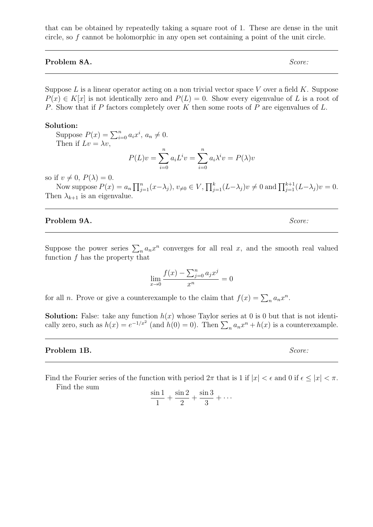that can be obtained by repeatedly taking a square root of 1. These are dense in the unit circle, so f cannot be holomorphic in any open set containing a point of the unit circle.

# Problem 8A. Score:

Suppose  $L$  is a linear operator acting on a non trivial vector space  $V$  over a field  $K$ . Suppose  $P(x) \in K[x]$  is not identically zero and  $P(L) = 0$ . Show every eigenvalue of L is a root of P. Show that if P factors completely over K then some roots of P are eigenvalues of L.

### Solution:

Suppose  $P(x) = \sum_{i=0}^{n} a_i x^i, a_n \neq 0.$ Then if  $Lv = \lambda v$ ,

$$
P(L)v = \sum_{i=0}^{n} a_i L^i v = \sum_{i=0}^{n} a_i \lambda^i v = P(\lambda)v
$$

so if  $v \neq 0$ ,  $P(\lambda) = 0$ .

Now suppose  $P(x) = a_n \prod_{j=1}^n (x - \lambda_j)$ ,  $v_{\neq 0} \in V$ ,  $\prod_{j=1}^k (L - \lambda_j) v \neq 0$  and  $\prod_{j=1}^{k+1} (L - \lambda_j) v = 0$ . Then  $\lambda_{k+1}$  is an eigenvalue.

## **Problem 9A.** Score:

Suppose the power series  $\sum_{n} a_n x^n$  converges for all real x, and the smooth real valued function  $f$  has the property that

$$
\lim_{x \to 0} \frac{f(x) - \sum_{j=0}^{n} a_j x^j}{x^n} = 0
$$

for all *n*. Prove or give a counterexample to the claim that  $f(x) = \sum_n a_n x^n$ .

**Solution:** False: take any function  $h(x)$  whose Taylor series at 0 is 0 but that is not identically zero, such as  $h(x) = e^{-1/x^2}$  (and  $h(0) = 0$ ). Then  $\sum_n a_n x^n + h(x)$  is a counterexample.

#### **Problem 1B.** Score:

Find the Fourier series of the function with period  $2\pi$  that is 1 if  $|x| < \epsilon$  and 0 if  $\epsilon \leq |x| < \pi$ . Find the sum

$$
\frac{\sin 1}{1} + \frac{\sin 2}{2} + \frac{\sin 3}{3} + \cdots
$$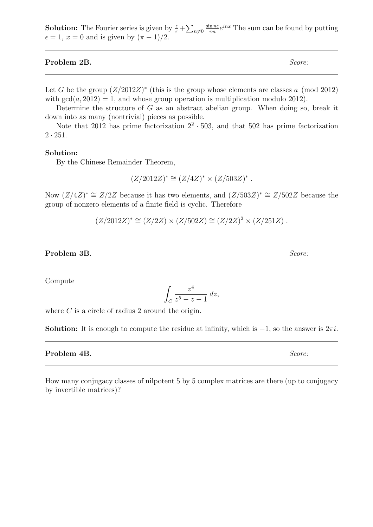**Solution:** The Fourier series is given by  $\frac{\epsilon}{\pi} + \sum_{n \neq 0}$  $\sin n\epsilon$  $\frac{\sin n\epsilon}{\pi n}e^{inx}$  The sum can be found by putting  $\epsilon = 1, x = 0$  and is given by  $(\pi - 1)/2$ .

Problem 2B. Score:

Let G be the group  $(Z/2012Z)^*$  (this is the group whose elements are classes a (mod 2012) with  $gcd(a, 2012) = 1$ , and whose group operation is multiplication modulo 2012).

Determine the structure of  $G$  as an abstract abelian group. When doing so, break it down into as many (nontrivial) pieces as possible.

Note that 2012 has prime factorization  $2^2 \cdot 503$ , and that 502 has prime factorization  $2 \cdot 251$ .

## Solution:

By the Chinese Remainder Theorem,

$$
(Z/2012Z)^* \cong (Z/4Z)^* \times (Z/503Z)^* .
$$

Now  $(Z/4Z)^* \cong Z/2Z$  because it has two elements, and  $(Z/503Z)^* \cong Z/502Z$  because the group of nonzero elements of a finite field is cyclic. Therefore

 $(Z/2012Z)^* \cong (Z/2Z) \times (Z/502Z) \cong (Z/2Z)^2 \times (Z/251Z)$ .

## Problem 3B. Score:

Compute

$$
\int_C \frac{z^4}{z^5 - z - 1} \, dz,
$$

where  $C$  is a circle of radius 2 around the origin.

**Solution:** It is enough to compute the residue at infinity, which is  $-1$ , so the answer is  $2\pi i$ .

# Problem 4B. Score:

How many conjugacy classes of nilpotent 5 by 5 complex matrices are there (up to conjugacy by invertible matrices)?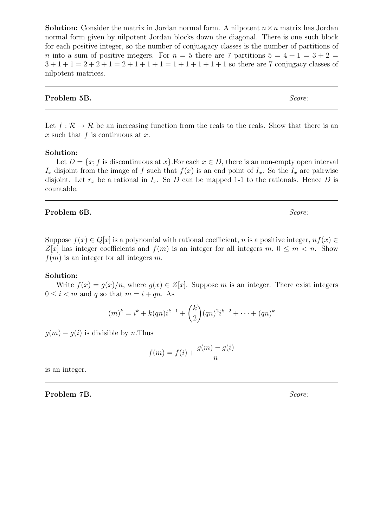**Solution:** Consider the matrix in Jordan normal form. A nilpotent  $n \times n$  matrix has Jordan normal form given by nilpotent Jordan blocks down the diagonal. There is one such block for each positive integer, so the number of conjuagacy classes is the number of partitions of n into a sum of positive integers. For  $n = 5$  there are 7 partitions  $5 = 4 + 1 = 3 + 2 = 1$  $3+1+1=2+2+1=2+1+1+1=1+1+1+1+1$  so there are 7 conjugacy classes of nilpotent matrices.

# **Problem 5B.** Score:

Let  $f : \mathcal{R} \to \mathcal{R}$  be an increasing function from the reals to the reals. Show that there is an x such that  $f$  is continuous at  $x$ .

## Solution:

Let  $D = \{x; f \text{ is discontinuous at } x\}$ . For each  $x \in D$ , there is an non-empty open interval  $I_x$  disjoint from the image of f such that  $f(x)$  is an end point of  $I_x$ . So the  $I_x$  are pairwise disjoint. Let  $r_x$  be a rational in  $I_x$ . So D can be mapped 1-1 to the rationals. Hence D is countable.

## **Problem 6B.** Score:

Suppose  $f(x) \in Q[x]$  is a polynomial with rational coefficient, n is a positive integer,  $nf(x) \in$  $Z[x]$  has integer coefficients and  $f(m)$  is an integer for all integers  $m, 0 \le m < n$ . Show  $f(m)$  is an integer for all integers m.

### Solution:

Write  $f(x) = q(x)/n$ , where  $q(x) \in Z[x]$ . Suppose m is an integer. There exist integers  $0 \leq i < m$  and q so that  $m = i + qn$ . As

$$
(m)^k = i^k + k(qn)i^{k-1} + {k \choose 2}(qn)^2i^{k-2} + \dots + (qn)^k
$$

 $g(m) - g(i)$  is divisible by n.Thus

$$
f(m) = f(i) + \frac{g(m) - g(i)}{n}
$$

is an integer.

Problem 7B. Score: